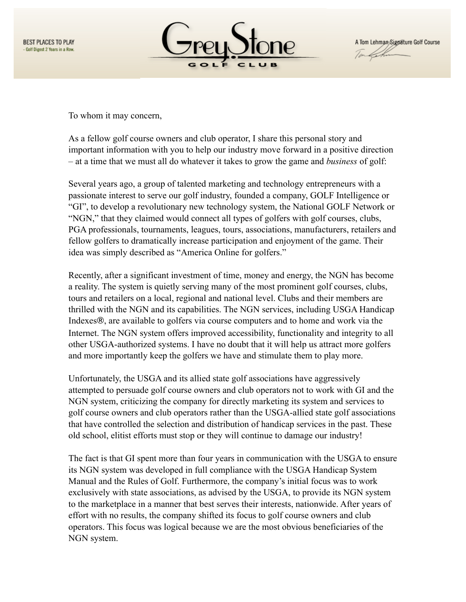



To whom it may concern,

As a fellow golf course owners and club operator, I share this personal story and important information with you to help our industry move forward in a positive direction – at a time that we must all do whatever it takes to grow the game and *business* of golf:

Several years ago, a group of talented marketing and technology entrepreneurs with a passionate interest to serve our golf industry, founded a company, GOLF Intelligence or "GI", to develop a revolutionary new technology system, the National GOLF Network or "NGN," that they claimed would connect all types of golfers with golf courses, clubs, PGA professionals, tournaments, leagues, tours, associations, manufacturers, retailers and fellow golfers to dramatically increase participation and enjoyment of the game. Their idea was simply described as "America Online for golfers."

Recently, after a significant investment of time, money and energy, the NGN has become a reality. The system is quietly serving many of the most prominent golf courses, clubs, tours and retailers on a local, regional and national level. Clubs and their members are thrilled with the NGN and its capabilities. The NGN services, including USGA Handicap Indexes®, are available to golfers via course computers and to home and work via the Internet. The NGN system offers improved accessibility, functionality and integrity to all other USGA-authorized systems. I have no doubt that it will help us attract more golfers and more importantly keep the golfers we have and stimulate them to play more.

Unfortunately, the USGA and its allied state golf associations have aggressively attempted to persuade golf course owners and club operators not to work with GI and the NGN system, criticizing the company for directly marketing its system and services to golf course owners and club operators rather than the USGA-allied state golf associations that have controlled the selection and distribution of handicap services in the past. These old school, elitist efforts must stop or they will continue to damage our industry!

The fact is that GI spent more than four years in communication with the USGA to ensure its NGN system was developed in full compliance with the USGA Handicap System Manual and the Rules of Golf. Furthermore, the company's initial focus was to work exclusively with state associations, as advised by the USGA, to provide its NGN system to the marketplace in a manner that best serves their interests, nationwide. After years of effort with no results, the company shifted its focus to golf course owners and club operators. This focus was logical because we are the most obvious beneficiaries of the NGN system.